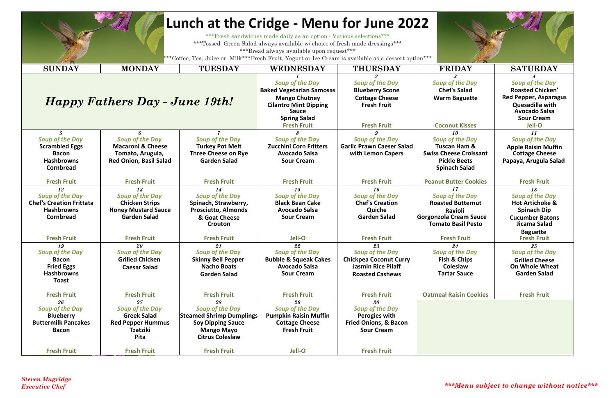|                                                                                                                                                                                                  |                                                                                                             | Lunch at the Cridge - Menu for June 2022                                                                                                   |                                                                                                                   |                                                                                                                      |                                                                                                                                         |                                                                                                                            |  |  |  |  |  |
|--------------------------------------------------------------------------------------------------------------------------------------------------------------------------------------------------|-------------------------------------------------------------------------------------------------------------|--------------------------------------------------------------------------------------------------------------------------------------------|-------------------------------------------------------------------------------------------------------------------|----------------------------------------------------------------------------------------------------------------------|-----------------------------------------------------------------------------------------------------------------------------------------|----------------------------------------------------------------------------------------------------------------------------|--|--|--|--|--|
| *** Fresh sandwiches made daily as an option - Various selections***<br>***Tossed Green Salad always available w/ choice of fresh made dressings***<br>***Bread always available upon request*** |                                                                                                             |                                                                                                                                            |                                                                                                                   |                                                                                                                      |                                                                                                                                         |                                                                                                                            |  |  |  |  |  |
| ***Coffee, Tea, Juice or Milk***Fresh Fruit, Yogurt or Ice Cream is available as a dessert option***                                                                                             |                                                                                                             |                                                                                                                                            |                                                                                                                   |                                                                                                                      |                                                                                                                                         |                                                                                                                            |  |  |  |  |  |
| <b>SUNDAY</b>                                                                                                                                                                                    | <b>MONDAY</b>                                                                                               | <b>TUESDAY</b>                                                                                                                             | <b>WEDNESDAY</b>                                                                                                  | <b>THURSDAY</b>                                                                                                      | <b>FRIDAY</b>                                                                                                                           | <b>SATURDAY</b>                                                                                                            |  |  |  |  |  |
|                                                                                                                                                                                                  | Happy Fathers Day - June 19th!                                                                              |                                                                                                                                            | <b>Soup of the Day</b><br><b>Baked Vegetarian Samosas</b><br><b>Mango Chutney</b><br><b>Cilantro Mint Dipping</b> | <b>Soup of the Day</b><br><b>Blueberry Scone</b><br><b>Cottage Cheese</b><br><b>Fresh Fruit</b>                      | <b>Soup of the Day</b><br><b>Chef's Salad</b><br><b>Warm Baguette</b>                                                                   | Soup of the Day<br><b>Roasted Chicken'</b><br><b>Red Pepper, Asparagus</b><br>Quesadilla with                              |  |  |  |  |  |
|                                                                                                                                                                                                  |                                                                                                             |                                                                                                                                            | <b>Sauce</b><br><b>Spring Salad</b><br><b>Fresh Fruit</b>                                                         | <b>Fresh Fruit</b>                                                                                                   | <b>Coconut Kisses</b>                                                                                                                   | <b>Avocado Salsa</b><br><b>Sour Cream</b><br>Jell-O                                                                        |  |  |  |  |  |
| <b>Soup of the Day</b><br><b>Scrambled Eggs</b><br><b>Bacon</b><br><b>Hashbrowns</b><br><b>Cornbread</b>                                                                                         | <b>Soup of the Day</b><br><b>Macaroni &amp; Cheese</b><br>Tomato, Arugula,<br><b>Red Onion, Basil Salad</b> | <b>Soup of the Day</b><br><b>Turkey Pot Melt</b><br><b>Three Cheese on Rye</b><br><b>Garden Salad</b>                                      | <b>Soup of the Day</b><br><b>Zucchini Corn Fritters</b><br><b>Avocado Salsa</b><br><b>Sour Cream</b>              | <b>Soup of the Day</b><br><b>Garlic Prawn Caeser Salad</b><br>with Lemon Capers                                      | 10<br><b>Soup of the Day</b><br><b>Tuscan Ham &amp;</b><br><b>Swiss Cheese Croissant</b><br><b>Pickle Beets</b><br><b>Spinach Salad</b> | 11<br><b>Soup of the Day</b><br><b>Apple Raisin Muffin</b><br><b>Cottage Cheese</b><br>Papaya, Arugula Salad               |  |  |  |  |  |
| <b>Fresh Fruit</b>                                                                                                                                                                               | <b>Fresh Fruit</b>                                                                                          | <b>Fresh Fruit</b>                                                                                                                         | <b>Fresh Fruit</b>                                                                                                | <b>Fresh Fruit</b>                                                                                                   | <b>Peanut Butter Cookies</b>                                                                                                            | <b>Fresh Fruit</b>                                                                                                         |  |  |  |  |  |
| 12<br><b>Soup of the Day</b><br><b>Chef's Creation Frittata</b><br><b>Hashbrowns</b><br><b>Cornbread</b>                                                                                         | 13<br><b>Soup of the Day</b><br><b>Chicken Strips</b><br><b>Honey Mustard Sauce</b><br><b>Garden Salad</b>  | 14<br><b>Soup of the Day</b><br>Spinach, Strawberry,<br><b>Prosciutto, Almonds</b><br>& Goat Cheese<br>Crouton                             | 15<br><b>Soup of the Day</b><br><b>Black Bean Cake</b><br><b>Avocado Salsa</b><br><b>Sour Cream</b>               | 16<br><b>Soup of the Day</b><br><b>Chef's Creation</b><br>Quiche<br><b>Garden Salad</b>                              | 17<br><b>Soup of the Day</b><br><b>Roasted Butternut</b><br>Ravioli<br><b>Gorgonzola Cream Sauce</b><br><b>Tomato Basil Pesto</b>       | 18<br><b>Soup of the Day</b><br><b>Hot Artichoke &amp;</b><br><b>Spinach Dip</b><br><b>Cucumber Batons</b><br>Jicama Salad |  |  |  |  |  |
| <b>Fresh Fruit</b>                                                                                                                                                                               | <b>Fresh Fruit</b>                                                                                          | <b>Fresh Fruit</b>                                                                                                                         | Jell-O                                                                                                            | <b>Fresh Fruit</b>                                                                                                   | <b>Fresh Fruit</b>                                                                                                                      | <b>Baguette</b><br><b>Fresh Fruit</b>                                                                                      |  |  |  |  |  |
| 19<br><b>Soup of the Day</b><br><b>Bacon</b><br><b>Fried Eggs</b><br><b>Hashbrowns</b><br><b>Toast</b>                                                                                           | 20<br><b>Soup of the Day</b><br><b>Grilled Chicken</b><br><b>Caesar Salad</b>                               | 21<br><b>Soup of the Day</b><br><b>Skinny Bell Pepper</b><br><b>Nacho Boats</b><br><b>Garden Salad</b>                                     | 22<br><b>Soup of the Day</b><br><b>Bubble &amp; Squeak Cakes</b><br><b>Avocado Salsa</b><br><b>Sour Cream</b>     | 23<br><b>Soup of the Day</b><br><b>Chickpea Coconut Curry</b><br><b>Jasmin Rice Pilaff</b><br><b>Roasted Cashews</b> | 24<br><b>Soup of the Day</b><br><b>Fish &amp; Chips</b><br>Coleslaw<br><b>Tartar Sauce</b>                                              | 25<br><b>Soup of the Day</b><br><b>Grilled Cheese</b><br><b>On Whole Wheat</b><br><b>Garden Salad</b>                      |  |  |  |  |  |
| <b>Fresh Fruit</b>                                                                                                                                                                               | <b>Fresh Fruit</b>                                                                                          | <b>Fresh Fruit</b>                                                                                                                         | <b>Fresh Fruit</b>                                                                                                | <b>Fresh Fruit</b>                                                                                                   | <b>Oatmeal Raisin Cookies</b>                                                                                                           | <b>Fresh Fruit</b>                                                                                                         |  |  |  |  |  |
| 26<br><b>Soup of the Day</b><br><b>Blueberry</b><br><b>Buttermilk Pancakes</b><br><b>Bacon</b>                                                                                                   | 27<br><b>Soup of the Day</b><br><b>Greek Salad</b><br><b>Red Pepper Hummus</b><br><b>Tzatziki</b><br>Pita   | 28<br><b>Soup of the Day</b><br><b>Steamed Shrimp Dumplings</b><br><b>Soy Dipping Sauce</b><br><b>Mango Mayo</b><br><b>Citrus Coleslaw</b> | 29<br><b>Soup of the Day</b><br><b>Pumpkin Raisin Muffin</b><br><b>Cottage Cheese</b><br><b>Fresh Fruit</b>       | $30\,$<br><b>Soup of the Day</b><br>Perogies with<br><b>Fried Onions, &amp; Bacon</b><br><b>Sour Cream</b>           |                                                                                                                                         |                                                                                                                            |  |  |  |  |  |
| <b>Fresh Fruit</b>                                                                                                                                                                               | <b>Fresh Fruit</b>                                                                                          | <b>Fresh Fruit</b>                                                                                                                         | Jell-O                                                                                                            | <b>Fresh Fruit</b>                                                                                                   |                                                                                                                                         |                                                                                                                            |  |  |  |  |  |

*Executive Chef \*\*\*Menu subject to change without notice\*\*\**